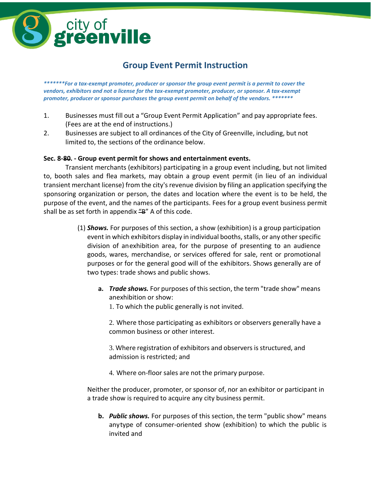

## **Group Event Permit Instruction**

*\*\*\*\*\*\*\*For a tax-exempt promoter, producer or sponsor the group event permit is a permit to cover the vendors, exhibitors and not a license for the tax-exempt promoter, producer, or sponsor. A tax-exempt promoter, producer or sponsor purchases the group event permit on behalf of the vendors. \*\*\*\*\*\*\**

- 1. Businesses must fill out a "Group Event Permit Application" and pay appropriate fees. (Fees are at the end of instructions.)
- 2. Businesses are subject to all ordinances of the City of Greenville, including, but not limited to, the sections of the ordinance below.

#### **Sec. 8-80. - Group event permit for shows and entertainment events.**

Transient merchants (exhibitors) participating in a group event including, but not limited to, booth sales and flea markets, may obtain a group event permit (in lieu of an individual transient merchant license) from the city's revenue division by filing an application specifying the sponsoring organization or person, the dates and location where the event is to be held, the purpose of the event, and the names of the participants. Fees for a group event business permit shall be as set forth in appendix  $H$ <sup>2</sup> A of this code.

- (1) *Shows.* For purposes of this section, a show (exhibition) is a group participation event in which exhibitors display in individual booths, stalls, or any other specific division of anexhibition area, for the purpose of presenting to an audience goods, wares, merchandise, or services offered for sale, rent or promotional purposes or for the general good will of the exhibitors. Shows generally are of two types: trade shows and public shows.
	- **a.** *Trade shows.* For purposes of thissection, the term "trade show" means anexhibition or show:
		- 1. To which the public generally is not invited.

2. Where those participating as exhibitors or observers generally have a common business or other interest.

3. Where registration of exhibitors and observers is structured, and admission is restricted; and

4. Where on-floor sales are not the primary purpose.

Neither the producer, promoter, or sponsor of, nor an exhibitor or participant in a trade show is required to acquire any city business permit.

**b.** *Public shows.* For purposes of this section, the term "public show" means anytype of consumer-oriented show (exhibition) to which the public is invited and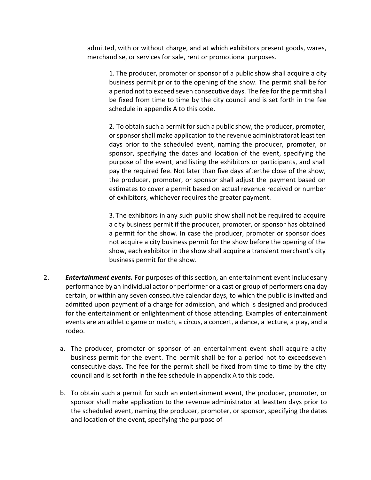admitted, with or without charge, and at which exhibitors present goods, wares, merchandise, or services for sale, rent or promotional purposes.

1. The producer, promoter or sponsor of a public show shall acquire a city business permit prior to the opening of the show. The permit shall be for a period not to exceed seven consecutive days. The fee for the permit shall be fixed from time to time by the city council and is set forth in the fee schedule in appendix A to this code.

2. To obtain such a permit for such a public show, the producer, promoter, or sponsor shall make application to the revenue administratorat least ten days prior to the scheduled event, naming the producer, promoter, or sponsor, specifying the dates and location of the event, specifying the purpose of the event, and listing the exhibitors or participants, and shall pay the required fee. Not later than five days afterthe close of the show, the producer, promoter, or sponsor shall adjust the payment based on estimates to cover a permit based on actual revenue received or number of exhibitors, whichever requires the greater payment.

3. The exhibitors in any such public show shall not be required to acquire a city business permit if the producer, promoter, or sponsor has obtained a permit for the show. In case the producer, promoter or sponsor does not acquire a city business permit for the show before the opening of the show, each exhibitor in the show shall acquire a transient merchant's city business permit for the show.

- 2. *Entertainment events.* For purposes of this section, an entertainment event includesany performance by an individual actor or performer or a cast or group of performers ona day certain, or within any seven consecutive calendar days, to which the public is invited and admitted upon payment of a charge for admission, and which is designed and produced for the entertainment or enlightenment of those attending. Examples of entertainment events are an athletic game or match, a circus, a concert, a dance, a lecture, a play, and a rodeo.
	- a. The producer, promoter or sponsor of an entertainment event shall acquire a city business permit for the event. The permit shall be for a period not to exceedseven consecutive days. The fee for the permit shall be fixed from time to time by the city council and is set forth in the fee schedule in appendix A to this code.
	- b. To obtain such a permit for such an entertainment event, the producer, promoter, or sponsor shall make application to the revenue administrator at leastten days prior to the scheduled event, naming the producer, promoter, or sponsor, specifying the dates and location of the event, specifying the purpose of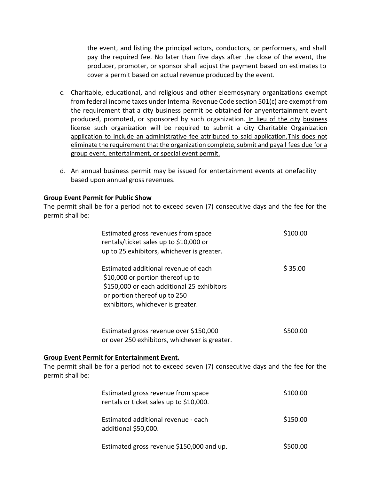the event, and listing the principal actors, conductors, or performers, and shall pay the required fee. No later than five days after the close of the event, the producer, promoter, or sponsor shall adjust the payment based on estimates to cover a permit based on actual revenue produced by the event.

- c. Charitable, educational, and religious and other eleemosynary organizations exempt from federal income taxes under Internal Revenue Code section 501(c) are exempt from the requirement that a city business permit be obtained for anyentertainment event produced, promoted, or sponsored by such organization. In lieu of the city business license such organization will be required to submit a city Charitable Organization application to include an administrative fee attributed to said application.This does not eliminate the requirement that the organization complete, submit and payall fees due for a group event, entertainment, or special event permit.
- d. An annual business permit may be issued for entertainment events at onefacility based upon annual gross revenues.

#### **Group Event Permit for Public Show**

The permit shall be for a period not to exceed seven (7) consecutive days and the fee for the permit shall be:

|                  | Estimated gross revenues from space<br>rentals/ticket sales up to \$10,000 or<br>up to 25 exhibitors, whichever is greater.                                                                  | \$100.00 |  |  |
|------------------|----------------------------------------------------------------------------------------------------------------------------------------------------------------------------------------------|----------|--|--|
|                  | Estimated additional revenue of each<br>\$10,000 or portion thereof up to<br>\$150,000 or each additional 25 exhibitors<br>or portion thereof up to 250<br>exhibitors, whichever is greater. | \$35.00  |  |  |
|                  | Estimated gross revenue over \$150,000<br>or over 250 exhibitors, whichever is greater.                                                                                                      | \$500.00 |  |  |
| permit shall be: | <b>Group Event Permit for Entertainment Event.</b><br>The permit shall be for a period not to exceed seven (7) consecutive days and the fee for the                                          |          |  |  |
|                  | Estimated gross revenue from space<br>rentals or ticket sales up to \$10,000.                                                                                                                | \$100.00 |  |  |
|                  | Estimated additional revenue - each<br>additional \$50,000.                                                                                                                                  | \$150.00 |  |  |

### **Group Event P**

| Estimated gross revenue \$150,000 and up. | \$500.00 |
|-------------------------------------------|----------|
|                                           |          |